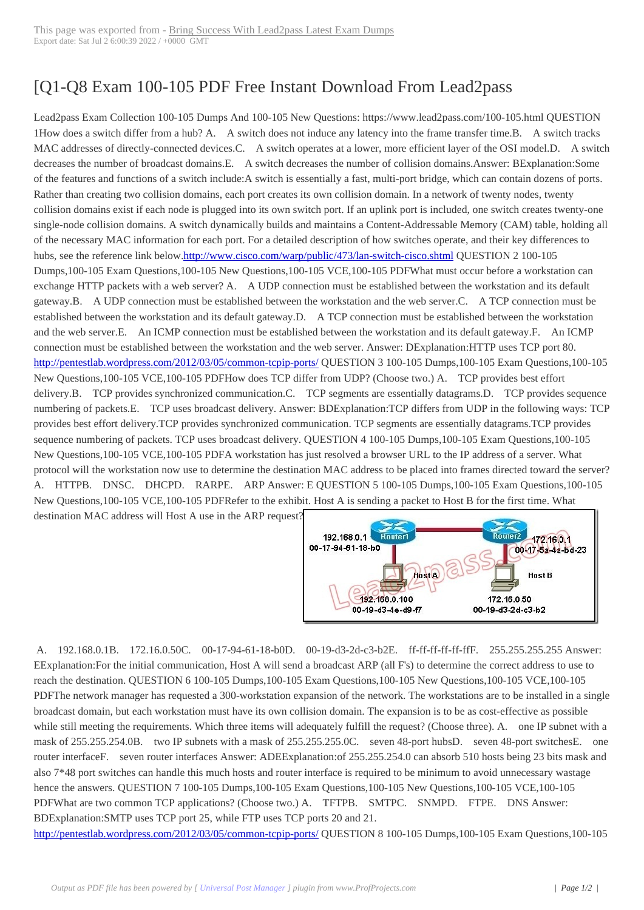## [Q1-Q8 Exam 100-[105 PDF Free Instant Download](http://www.220-801.net/?p=6850) From Lead2pass

 Lead2pass Exam Collection 100-105 Dumps And 100-105 New Questions: https://www.lead2pass.com/100-105.html QUESTION 1How does a switch differ from a hub? A. A switch does not induce any latency into the frame transfer time.B. A switch tracks MAC addresses of directly-connected devices.C. A switch operates at a lower, more efficient layer of the OSI model.D. A switch decreases the number of broadcast domains.E. A switch decreases the number of collision domains.Answer: BExplanation:Some of the features and functions of a switch include:A switch is essentially a fast, multi-port bridge, which can contain dozens of ports. Rather than creating two collision domains, each port creates its own collision domain. In a network of twenty nodes, twenty collision domains exist if each node is plugged into its own switch port. If an uplink port is included, one switch creates twenty-one single-node collision domains. A switch dynamically builds and maintains a Content-Addressable Memory (CAM) table, holding all of the necessary MAC information for each port. For a detailed description of how switches operate, and their key differences to hubs, see the reference link below.http://www.cisco.com/warp/public/473/lan-switch-cisco.shtml QUESTION 2 100-105 Dumps,100-105 Exam Questions,100-105 New Questions,100-105 VCE,100-105 PDFWhat must occur before a workstation can exchange HTTP packets with a web server? A. A UDP connection must be established between the workstation and its default gateway.B. A UDP connection must be established between the workstation and the web server.C. A TCP connection must be established between the workstati[on and its default gateway.D. A TCP connection must be esta](http://www.cisco.com/warp/public/473/lan-switch-cisco.shtml)blished between the workstation and the web server.E. An ICMP connection must be established between the workstation and its default gateway.F. An ICMP connection must be established between the workstation and the web server. Answer: DExplanation:HTTP uses TCP port 80. http://pentestlab.wordpress.com/2012/03/05/common-tcpip-ports/ QUESTION 3 100-105 Dumps,100-105 Exam Questions,100-105 New Questions,100-105 VCE,100-105 PDFHow does TCP differ from UDP? (Choose two.) A. TCP provides best effort delivery.B. TCP provides synchronized communication.C. TCP segments are essentially datagrams.D. TCP provides sequence numbering of packets.E. TCP uses broadcast delivery. Answer: BDExplanation:TCP differs from UDP in the following ways: TCP [provides best effort delivery.TCP provides synchronized commun](http://pentestlab.wordpress.com/2012/03/05/common-tcpip-ports/)ication. TCP segments are essentially datagrams.TCP provides sequence numbering of packets. TCP uses broadcast delivery. QUESTION 4 100-105 Dumps,100-105 Exam Questions,100-105 New Questions,100-105 VCE,100-105 PDFA workstation has just resolved a browser URL to the IP address of a server. What protocol will the workstation now use to determine the destination MAC address to be placed into frames directed toward the server? A. HTTPB. DNSC. DHCPD. RARPE. ARP Answer: E QUESTION 5 100-105 Dumps,100-105 Exam Questions,100-105 New Questions,100-105 VCE,100-105 PDFRefer to the exhibit. Host A is sending a packet to Host B for the first time. What

destination MAC address will Host A use in the ARP request?



 A. 192.168.0.1B. 172.16.0.50C. 00-17-94-61-18-b0D. [00-19-d3-2d-c3-b2E. ff-ff-ff-ff-ff-ffF. 255.255.255.255 Answer](http://examgod.com/l2pimage/aa21aec57f18_AC5A/51.jpg): EExplanation:For the initial communication, Host A will send a broadcast ARP (all F's) to determine the correct address to use to reach the destination. QUESTION 6 100-105 Dumps,100-105 Exam Questions,100-105 New Questions,100-105 VCE,100-105 PDFThe network manager has requested a 300-workstation expansion of the network. The workstations are to be installed in a single broadcast domain, but each workstation must have its own collision domain. The expansion is to be as cost-effective as possible while still meeting the requirements. Which three items will adequately fulfill the request? (Choose three). A. one IP subnet with a mask of 255.255.254.0B. two IP subnets with a mask of 255.255.255.0C. seven 48-port hubsD. seven 48-port switchesE. one router interfaceF. seven router interfaces Answer: ADEExplanation:of 255.255.254.0 can absorb 510 hosts being 23 bits mask and also 7\*48 port switches can handle this much hosts and router interface is required to be minimum to avoid unnecessary wastage hence the answers. QUESTION 7 100-105 Dumps,100-105 Exam Questions,100-105 New Questions,100-105 VCE,100-105 PDFWhat are two common TCP applications? (Choose two.) A. TFTPB. SMTPC. SNMPD. FTPE. DNS Answer: BDExplanation:SMTP uses TCP port 25, while FTP uses TCP ports 20 and 21.

http://pentestlab.wordpress.com/2012/03/05/common-tcpip-ports/ QUESTION 8 100-105 Dumps,100-105 Exam Questions,100-105